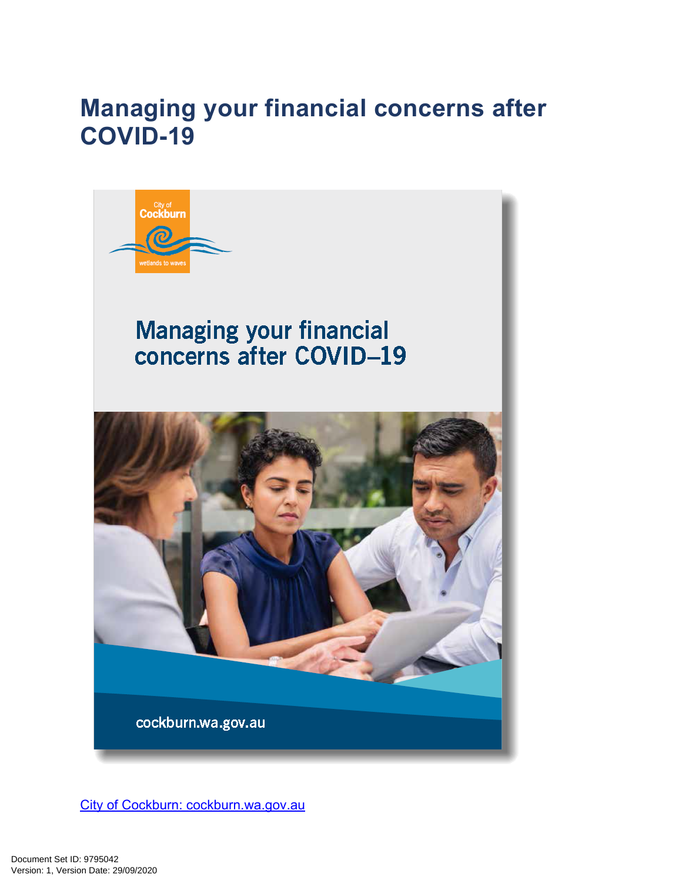# **Managing your financial concerns after COVID-19**



[City of Cockburn: cockburn.wa.gov.au](http://cockburn.wa.gov.au/)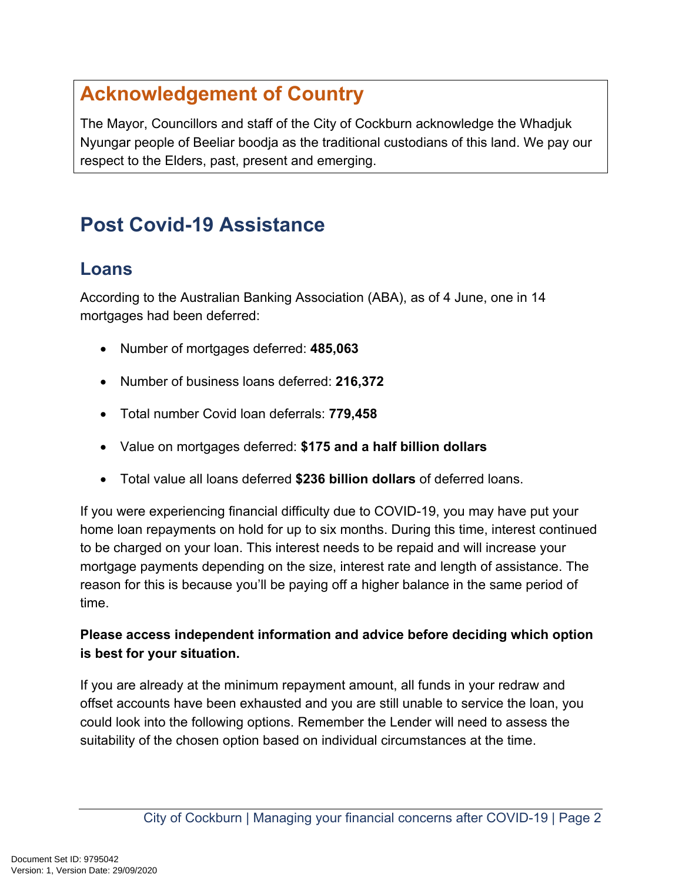# **Acknowledgement of Country**

The Mayor, Councillors and staff of the City of Cockburn acknowledge the Whadjuk Nyungar people of Beeliar boodja as the traditional custodians of this land. We pay our respect to the Elders, past, present and emerging.

# **Post Covid-19 Assistance**

### **Loans**

According to the Australian Banking Association (ABA), as of 4 June, one in 14 mortgages had been deferred:

- Number of mortgages deferred: **485,063**
- Number of business loans deferred: **216,372**
- Total number Covid loan deferrals: **779,458**
- Value on mortgages deferred: **\$175 and a half billion dollars**
- Total value all loans deferred **\$236 billion dollars** of deferred loans.

If you were experiencing financial difficulty due to COVID-19, you may have put your home loan repayments on hold for up to six months. During this time, interest continued to be charged on your loan. This interest needs to be repaid and will increase your mortgage payments depending on the size, interest rate and length of assistance. The reason for this is because you'll be paying off a higher balance in the same period of time.

#### **Please access independent information and advice before deciding which option is best for your situation.**

If you are already at the minimum repayment amount, all funds in your redraw and offset accounts have been exhausted and you are still unable to service the loan, you could look into the following options. Remember the Lender will need to assess the suitability of the chosen option based on individual circumstances at the time.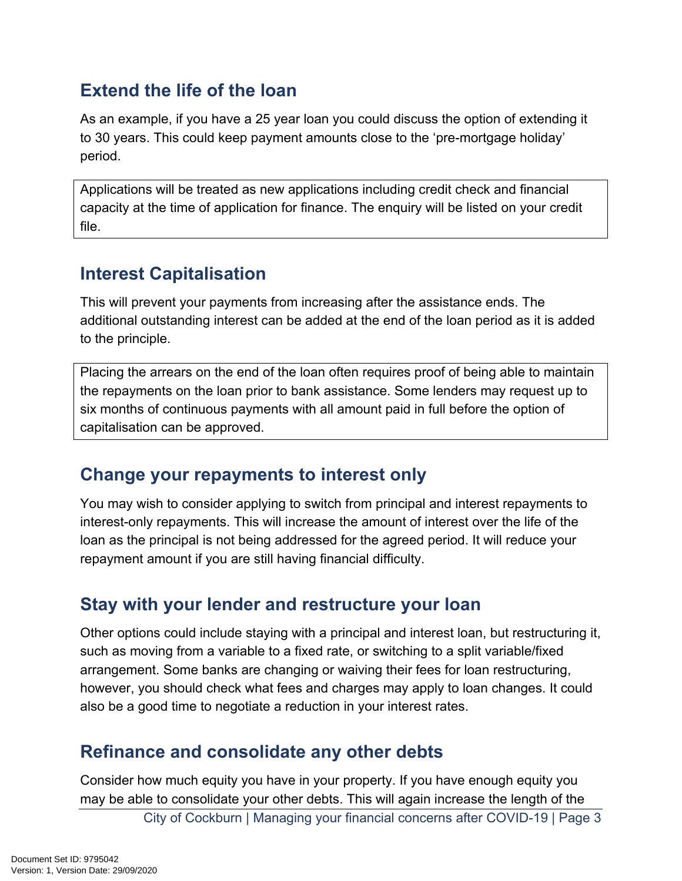## **Extend the life of the loan**

As an example, if you have a 25 year loan you could discuss the option of extending it to 30 years. This could keep payment amounts close to the 'pre-mortgage holiday' period.

Applications will be treated as new applications including credit check and financial capacity at the time of application for finance. The enquiry will be listed on your credit file.

## **Interest Capitalisation**

This will prevent your payments from increasing after the assistance ends. The additional outstanding interest can be added at the end of the loan period as it is added to the principle.

Placing the arrears on the end of the loan often requires proof of being able to maintain the repayments on the loan prior to bank assistance. Some lenders may request up to six months of continuous payments with all amount paid in full before the option of capitalisation can be approved.

### **Change your repayments to interest only**

You may wish to consider applying to switch from principal and interest repayments to interest-only repayments. This will increase the amount of interest over the life of the loan as the principal is not being addressed for the agreed period. It will reduce your repayment amount if you are still having financial difficulty.

## **Stay with your lender and restructure your loan**

Other options could include staying with a principal and interest loan, but restructuring it, such as moving from a variable to a fixed rate, or switching to a split variable/fixed arrangement. Some banks are changing or waiving their fees for loan restructuring, however, you should check what fees and charges may apply to loan changes. It could also be a good time to negotiate a reduction in your interest rates.

## **Refinance and consolidate any other debts**

Consider how much equity you have in your property. If you have enough equity you may be able to consolidate your other debts. This will again increase the length of the

City of Cockburn | Managing your financial concerns after COVID-19 | Page 3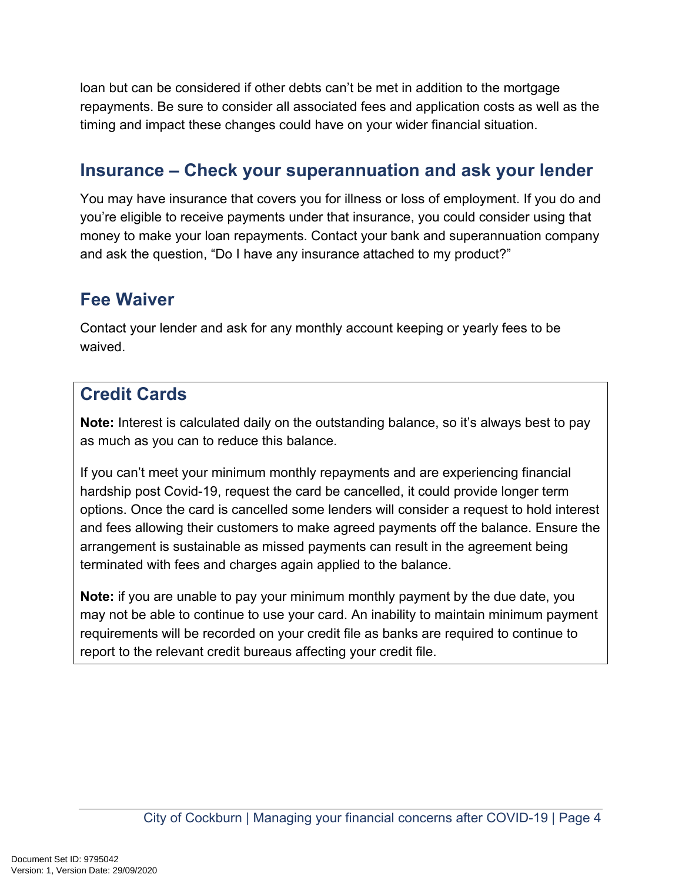loan but can be considered if other debts can't be met in addition to the mortgage repayments. Be sure to consider all associated fees and application costs as well as the timing and impact these changes could have on your wider financial situation.

## **Insurance – Check your superannuation and ask your lender**

You may have insurance that covers you for illness or loss of employment. If you do and you're eligible to receive payments under that insurance, you could consider using that money to make your loan repayments. Contact your bank and superannuation company and ask the question, "Do I have any insurance attached to my product?"

# **Fee Waiver**

Contact your lender and ask for any monthly account keeping or yearly fees to be waived.

## **Credit Cards**

**Note:** Interest is calculated daily on the outstanding balance, so it's always best to pay as much as you can to reduce this balance.

If you can't meet your minimum monthly repayments and are experiencing financial hardship post Covid-19, request the card be cancelled, it could provide longer term options. Once the card is cancelled some lenders will consider a request to hold interest and fees allowing their customers to make agreed payments off the balance. Ensure the arrangement is sustainable as missed payments can result in the agreement being terminated with fees and charges again applied to the balance.

**Note:** if you are unable to pay your minimum monthly payment by the due date, you may not be able to continue to use your card. An inability to maintain minimum payment requirements will be recorded on your credit file as banks are required to continue to report to the relevant credit bureaus affecting your credit file.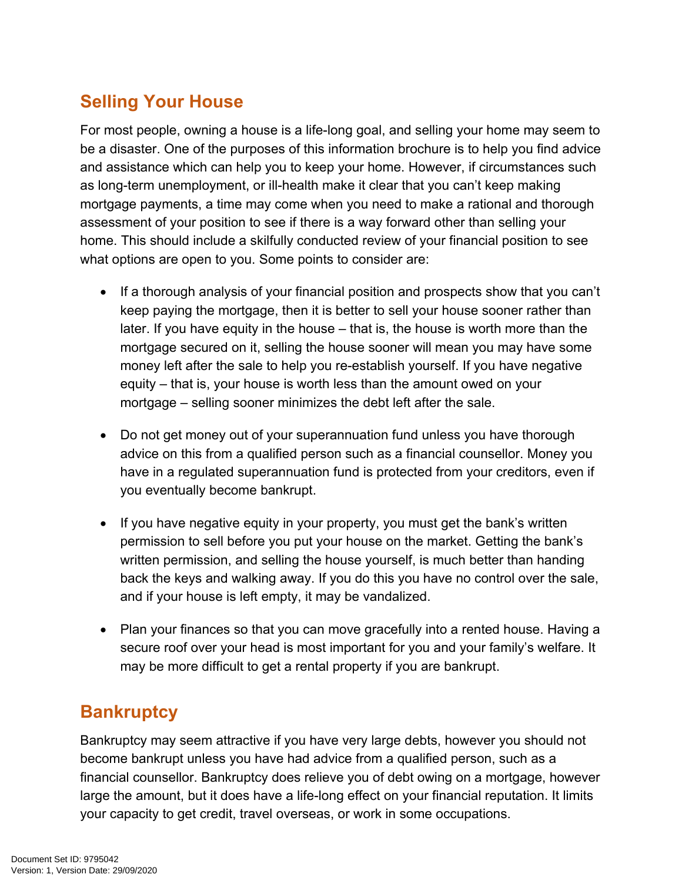# **Selling Your House**

For most people, owning a house is a life-long goal, and selling your home may seem to be a disaster. One of the purposes of this information brochure is to help you find advice and assistance which can help you to keep your home. However, if circumstances such as long-term unemployment, or ill-health make it clear that you can't keep making mortgage payments, a time may come when you need to make a rational and thorough assessment of your position to see if there is a way forward other than selling your home. This should include a skilfully conducted review of your financial position to see what options are open to you. Some points to consider are:

- If a thorough analysis of your financial position and prospects show that you can't keep paying the mortgage, then it is better to sell your house sooner rather than later. If you have equity in the house – that is, the house is worth more than the mortgage secured on it, selling the house sooner will mean you may have some money left after the sale to help you re-establish yourself. If you have negative equity – that is, your house is worth less than the amount owed on your mortgage – selling sooner minimizes the debt left after the sale.
- Do not get money out of your superannuation fund unless you have thorough advice on this from a qualified person such as a financial counsellor. Money you have in a regulated superannuation fund is protected from your creditors, even if you eventually become bankrupt.
- If you have negative equity in your property, you must get the bank's written permission to sell before you put your house on the market. Getting the bank's written permission, and selling the house yourself, is much better than handing back the keys and walking away. If you do this you have no control over the sale, and if your house is left empty, it may be vandalized.
- Plan your finances so that you can move gracefully into a rented house. Having a secure roof over your head is most important for you and your family's welfare. It may be more difficult to get a rental property if you are bankrupt.

# **Bankruptcy**

Bankruptcy may seem attractive if you have very large debts, however you should not become bankrupt unless you have had advice from a qualified person, such as a financial counsellor. Bankruptcy does relieve you of debt owing on a mortgage, however large the amount, but it does have a life-long effect on your financial reputation. It limits your capacity to get credit, travel overseas, or work in some occupations.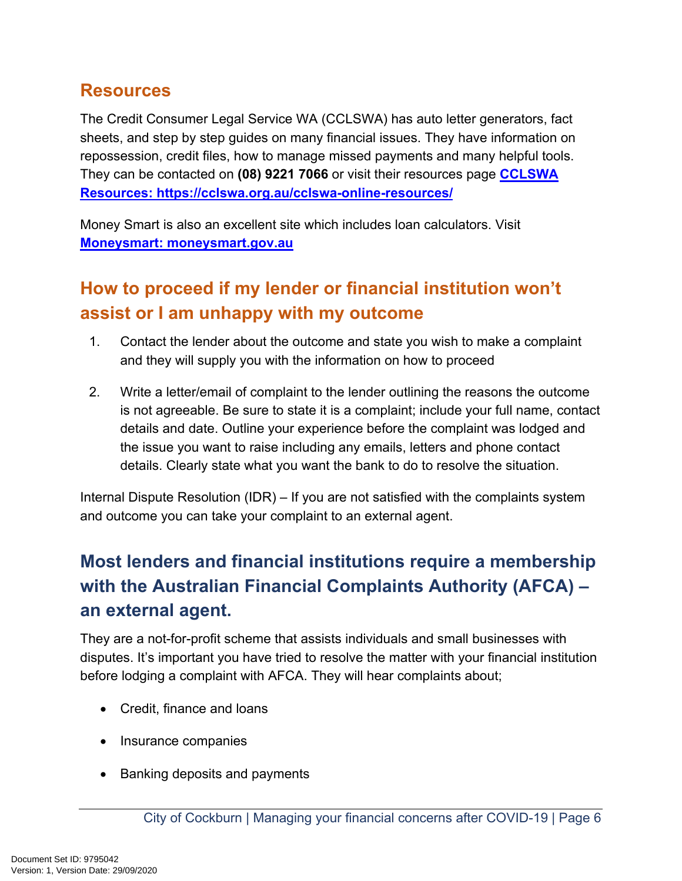#### **Resources**

The Credit Consumer Legal Service WA (CCLSWA) has auto letter generators, fact sheets, and step by step guides on many financial issues. They have information on repossession, credit files, how to manage missed payments and many helpful tools. They can be contacted on **(08) 9221 7066** or visit their resources page **[CCLSWA](https://cclswa.org.au/cclswa-online-resources/)  [Resources: https://cclswa.org.au/cclswa-online-resources/](https://cclswa.org.au/cclswa-online-resources/)**

Money Smart is also an excellent site which includes loan calculators. Visit **[Moneysmart: moneysmart.gov.au](http://moneysmart.gov.au/)**

# **How to proceed if my lender or financial institution won't assist or I am unhappy with my outcome**

- 1. Contact the lender about the outcome and state you wish to make a complaint and they will supply you with the information on how to proceed
- 2. Write a letter/email of complaint to the lender outlining the reasons the outcome is not agreeable. Be sure to state it is a complaint; include your full name, contact details and date. Outline your experience before the complaint was lodged and the issue you want to raise including any emails, letters and phone contact details. Clearly state what you want the bank to do to resolve the situation.

Internal Dispute Resolution (IDR) – If you are not satisfied with the complaints system and outcome you can take your complaint to an external agent.

# **Most lenders and financial institutions require a membership with the Australian Financial Complaints Authority (AFCA) – an external agent.**

They are a not-for-profit scheme that assists individuals and small businesses with disputes. It's important you have tried to resolve the matter with your financial institution before lodging a complaint with AFCA. They will hear complaints about;

- Credit, finance and loans
- Insurance companies
- Banking deposits and payments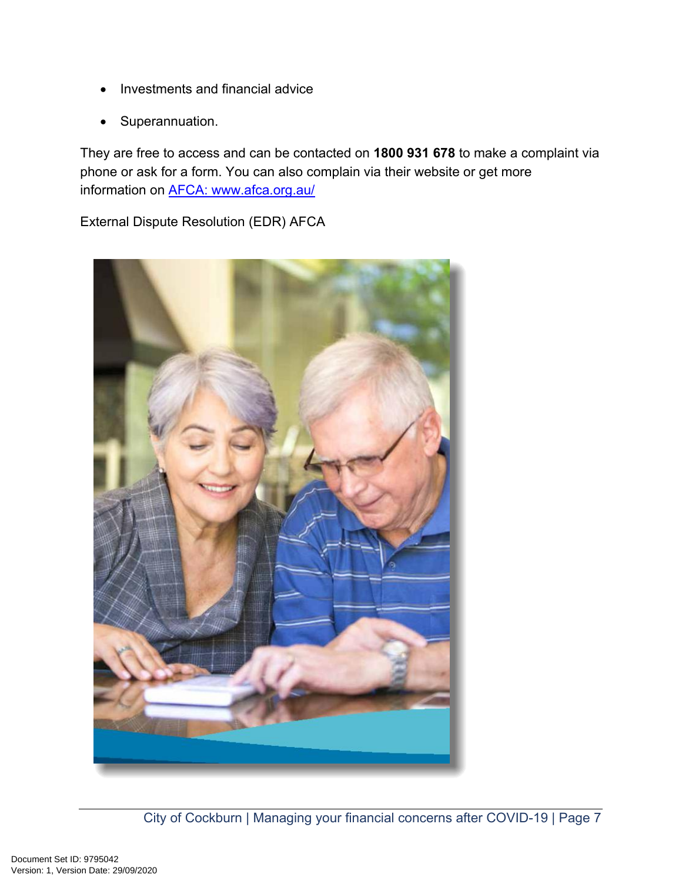- Investments and financial advice
- Superannuation.

They are free to access and can be contacted on **1800 931 678** to make a complaint via phone or ask for a form. You can also complain via their website or get more information on **AFCA:** www.afca.org.au/

External Dispute Resolution (EDR) AFCA

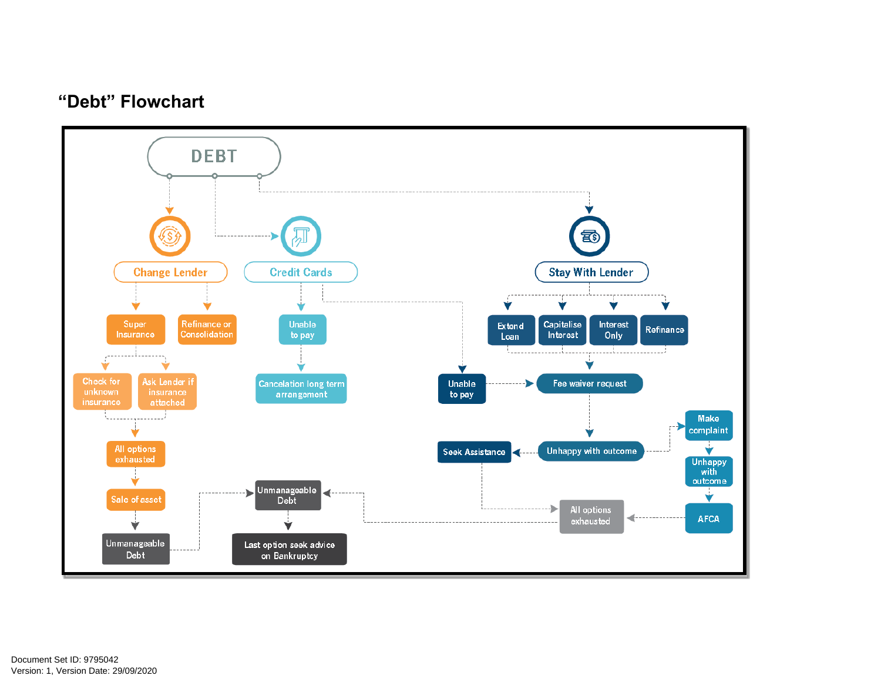### **"Debt" Flowchart**

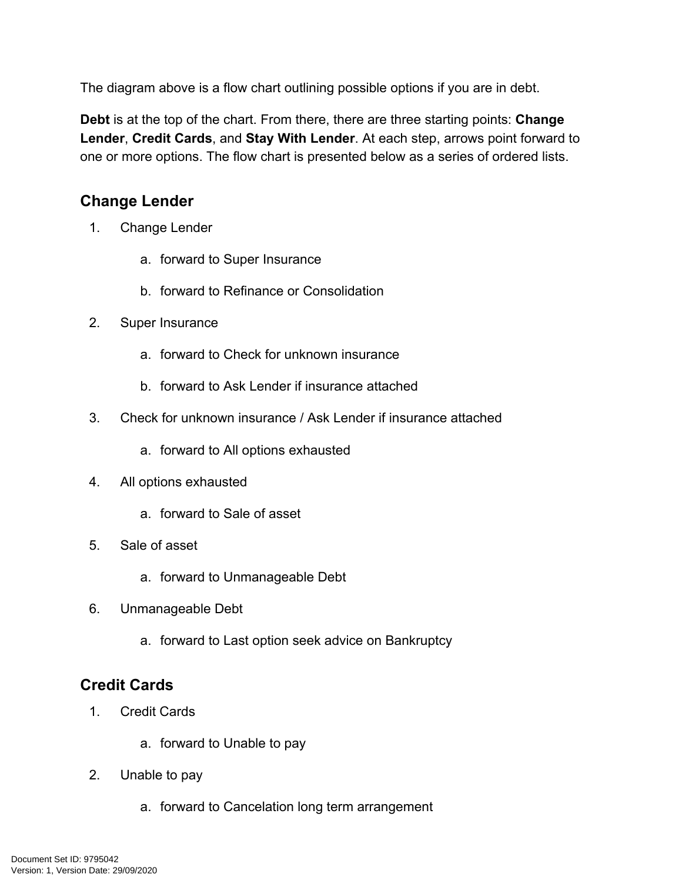The diagram above is a flow chart outlining possible options if you are in debt.

**Debt** is at the top of the chart. From there, there are three starting points: **Change Lender**, **Credit Cards**, and **Stay With Lender**. At each step, arrows point forward to one or more options. The flow chart is presented below as a series of ordered lists.

#### **Change Lender**

- 1. Change Lender
	- a. forward to Super Insurance
	- b. forward to Refinance or Consolidation
- 2. Super Insurance
	- a. forward to Check for unknown insurance
	- b. forward to Ask Lender if insurance attached
- 3. Check for unknown insurance / Ask Lender if insurance attached
	- a. forward to All options exhausted
- 4. All options exhausted
	- a. forward to Sale of asset
- 5. Sale of asset
	- a. forward to Unmanageable Debt
- 6. Unmanageable Debt
	- a. forward to Last option seek advice on Bankruptcy

#### **Credit Cards**

- 1. Credit Cards
	- a. forward to Unable to pay
- 2. Unable to pay
	- a. forward to Cancelation long term arrangement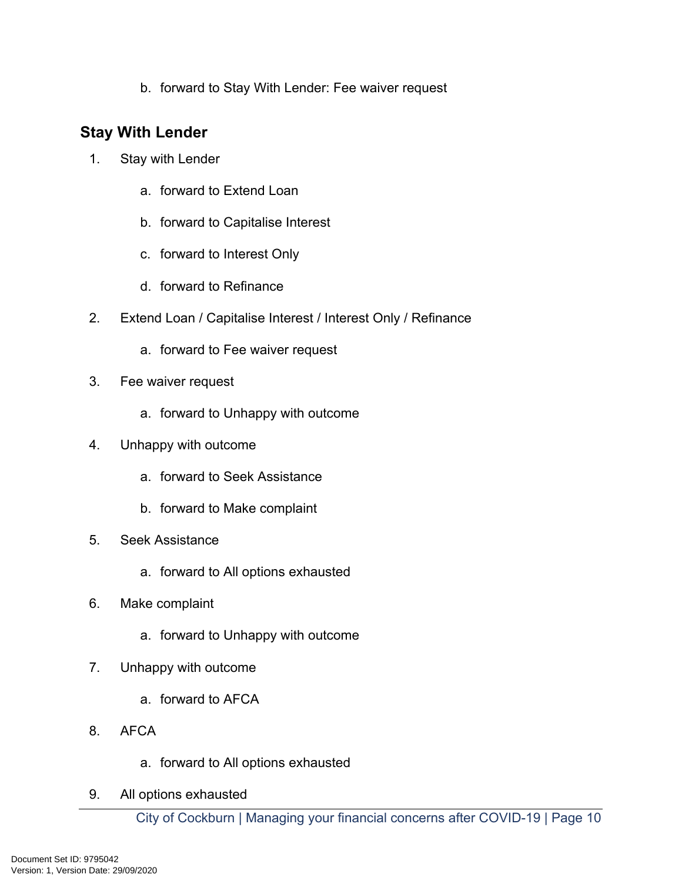b. forward to Stay With Lender: Fee waiver request

#### **Stay With Lender**

- 1. Stay with Lender
	- a. forward to Extend Loan
	- b. forward to Capitalise Interest
	- c. forward to Interest Only
	- d. forward to Refinance
- 2. Extend Loan / Capitalise Interest / Interest Only / Refinance
	- a. forward to Fee waiver request
- 3. Fee waiver request
	- a. forward to Unhappy with outcome
- 4. Unhappy with outcome
	- a. forward to Seek Assistance
	- b. forward to Make complaint
- 5. Seek Assistance
	- a. forward to All options exhausted
- 6. Make complaint
	- a. forward to Unhappy with outcome
- 7. Unhappy with outcome
	- a. forward to AFCA
- 8. AFCA
	- a. forward to All options exhausted
- 9. All options exhausted